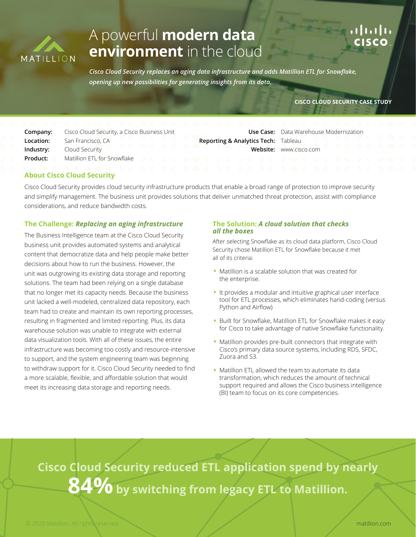

# A powerful **modern data environment** in the cloud



*Cisco Cloud Security replaces an aging data infrastructure and adds Matillion ETL for Snowflake, opening up new possibilities for generating insights from its data.*

### **CISCO CLOUD SECURITY CASE STUDY**

| Company:  | Cisco Cloud Security, a Cisco Business Unit |         |  |
|-----------|---------------------------------------------|---------|--|
| Location: | San Francisco, CA                           |         |  |
| Industry: | Cloud Security                              | NANA NA |  |
| Product:  | Matillion ETL for Snowflake                 | ニクマニクマ  |  |
|           |                                             |         |  |

**Use Case: Reporting & Analytics Tech: Website:**

| マン・フォン・フォー・マン・フォー            |  |  |
|------------------------------|--|--|
| Data Warehouse Modernization |  |  |
| Tableau                      |  |  |
| www.cisco.com                |  |  |

### **About Cisco Cloud Security**

Cisco Cloud Security provides cloud security infrastructure products that enable a broad range of protection to improve security and simplify management. The business unit provides solutions that deliver unmatched threat protection, assist with compliance considerations, and reduce bandwidth costs.

### **The Challenge:** *Replacing an aging infrastructure*

The Business Intelligence team at the Cisco Cloud Security business unit provides automated systems and analytical content that democratize data and help people make better decisions about how to run the business. However, the unit was outgrowing its existing data storage and reporting solutions. The team had been relying on a single database that no longer met its capacity needs. Because the business unit lacked a well-modeled, centralized data repository, each team had to create and maintain its own reporting processes, resulting in fragmented and limited reporting. Plus, its data warehouse solution was unable to integrate with external data visualization tools. With all of these issues, the entire infrastructure was becoming too costly and resource-intensive to support, and the system engineering team was beginning to withdraw support for it. Cisco Cloud Security needed to find a more scalable, flexible, and affordable solution that would meet its increasing data storage and reporting needs.

### **The Solution:** *A cloud solution that checks all the boxes*

After selecting Snowflake as its cloud data platform, Cisco Cloud Security chose Matillion ETL for Snowflake because it met all of its criteria:

- Matillion is a scalable solution that was created for the enterprise.
- It provides a modular and intuitive graphical user interface tool for ETL processes, which eliminates hand-coding (versus Python and Airflow)
- Built for Snowflake, Matillion ETL for Snowflake makes it easy for Cisco to take advantage of native Snowflake functionality.
- Matillion provides pre-built connectors that integrate with Cisco's primary data source systems, including RDS, SFDC, Zuora and S3.
- Matillion ETL allowed the team to automate its data transformation, which reduces the amount of technical support required and allows the Cisco business intelligence (BI) team to focus on its core competencies.

**Cisco Cloud Security reduced ETL application spend by nearly** 84% by switching from legacy ETL to Matillion.